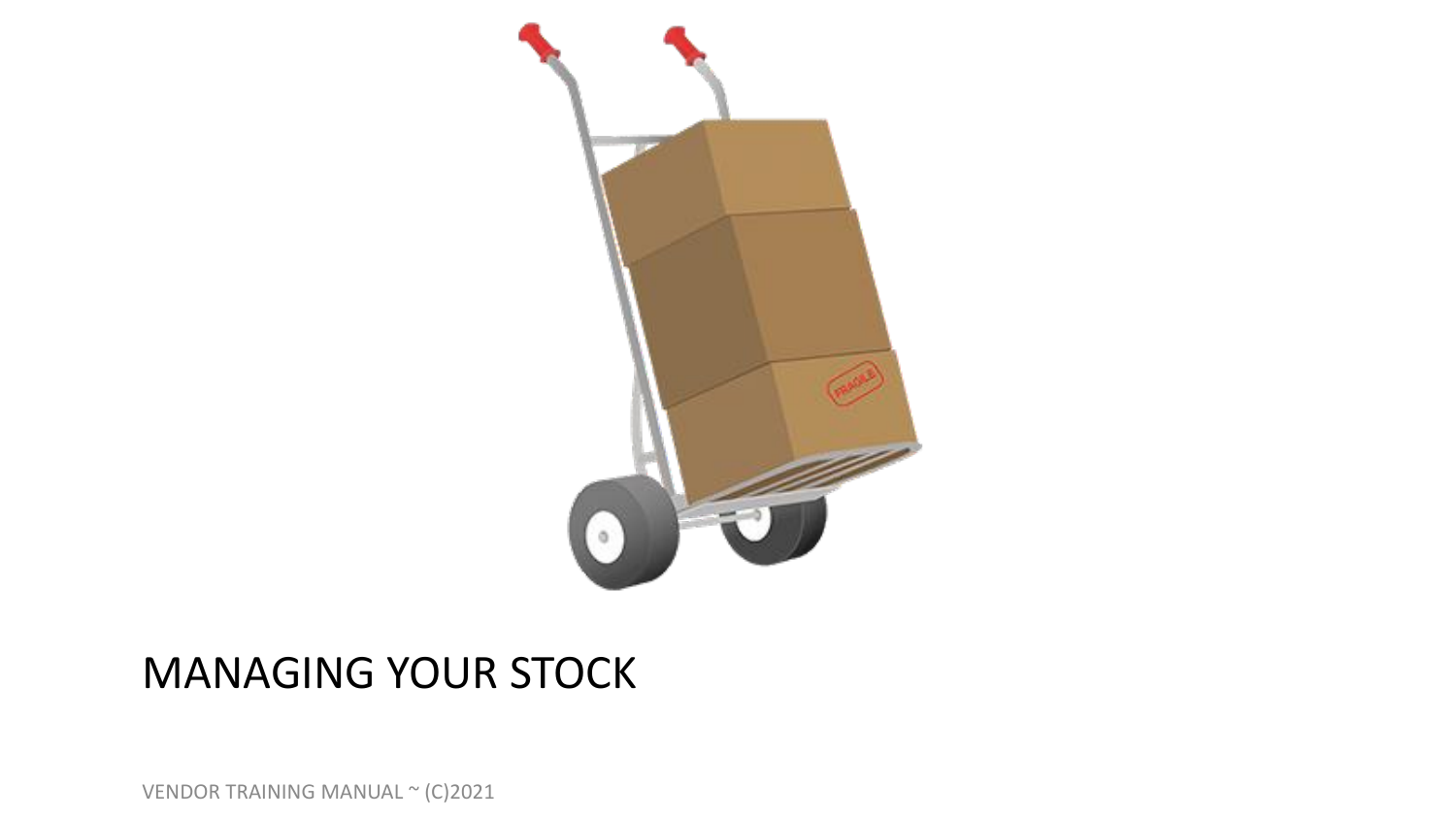

# MANAGING YOUR STOCK

VENDOR TRAINING MANUAL ~ (C)2021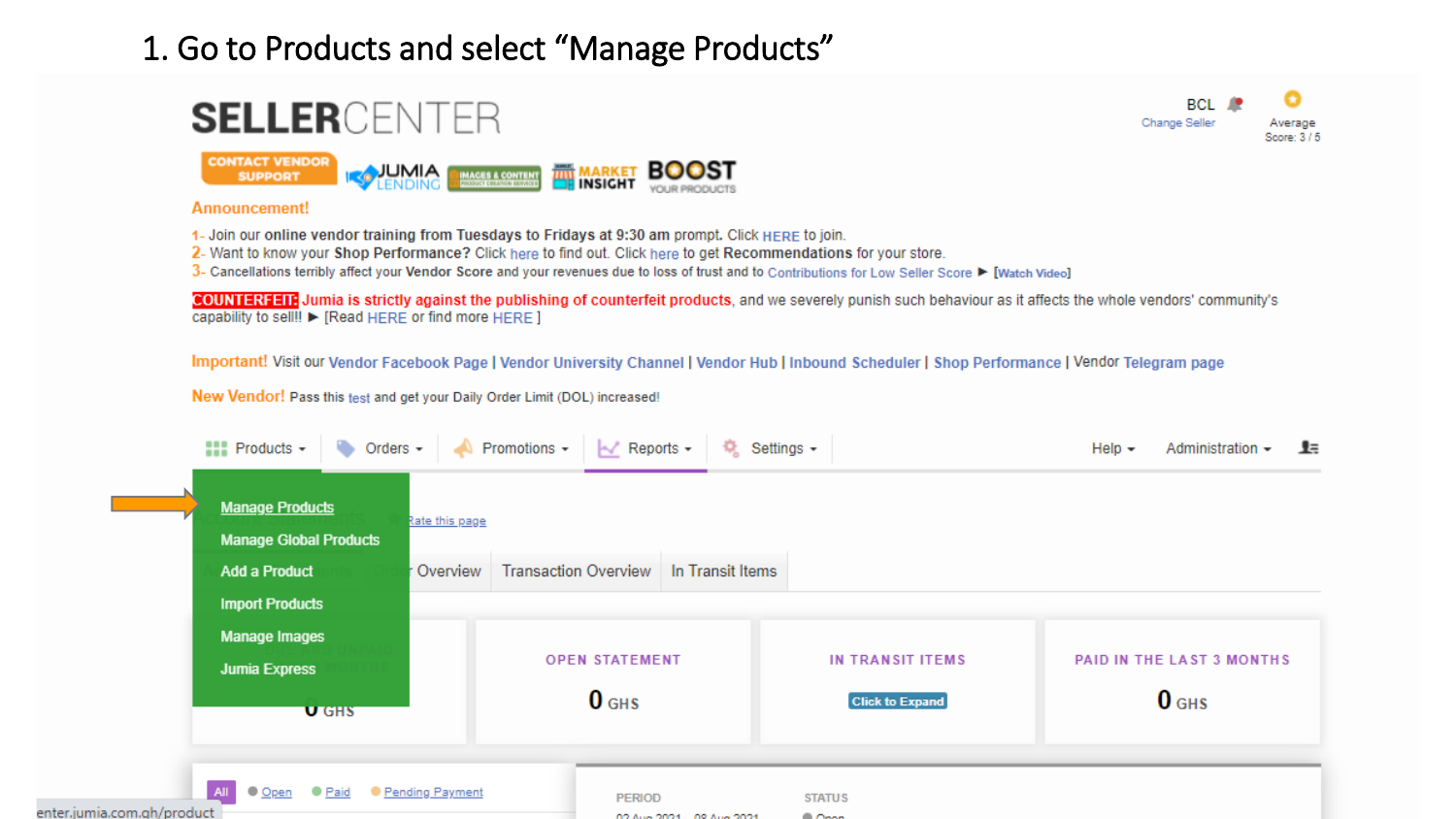### 1. Go to Products and select "Manage Products"

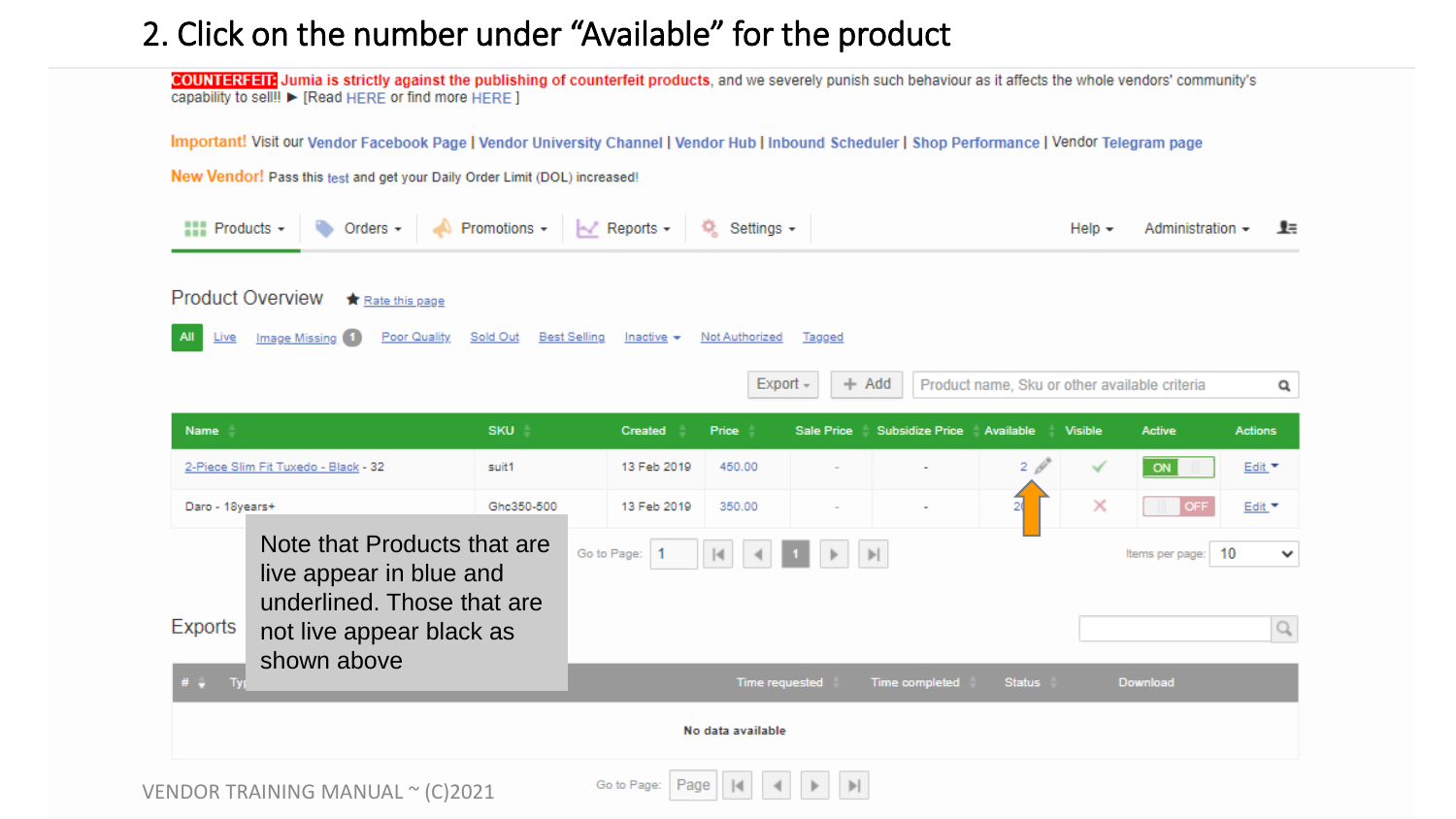## 2. Click on the number under "Available" for the product

COUNTERFEIT Jumia is strictly against the publishing of counterfeit products, and we severely punish such behaviour as it affects the whole vendors' community's capability to sell!! ► [Read HERE or find more HERE ]

Important! Visit our Vendor Facebook Page | Vendor University Channel | Vendor Hub | Inbound Scheduler | Shop Performance | Vendor Telegram page

New Vendor! Pass this test and get your Daily Order Limit (DOL) increased!

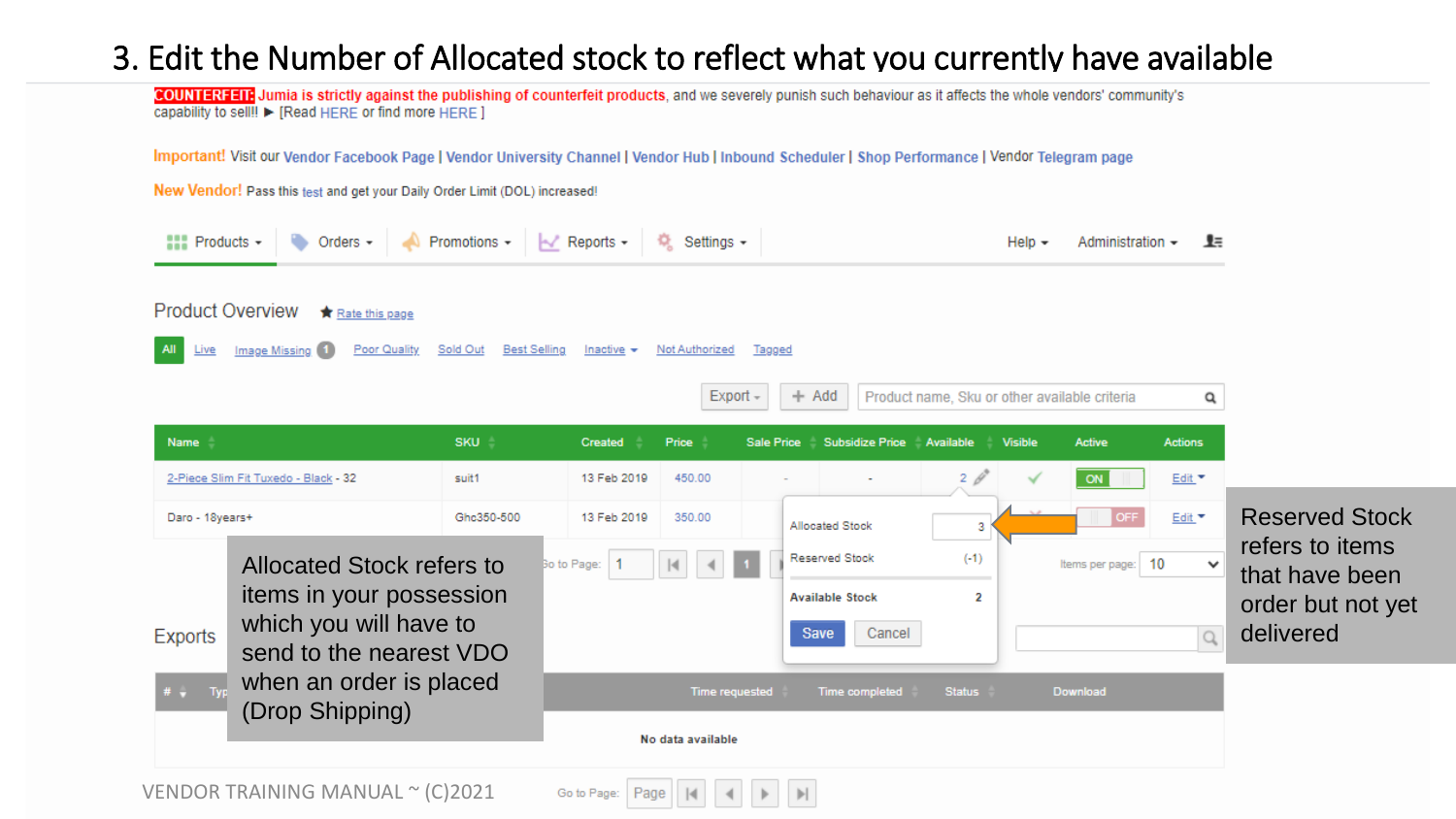## 3. Edit the Number of Allocated stock to reflect what you currently have available

COUNTERFEIT Jumia is strictly against the publishing of counterfeit products, and we severely punish such behaviour as it affects the whole vendors' community's capability to sell!! ► [Read HERE or find more HERE ]

Important! Visit our Vendor Facebook Page | Vendor University Channel | Vendor Hub | Inbound Scheduler | Shop Performance | Vendor Telegram page

New Vendor! Pass this test and get your Daily Order Limit (DOL) increased!

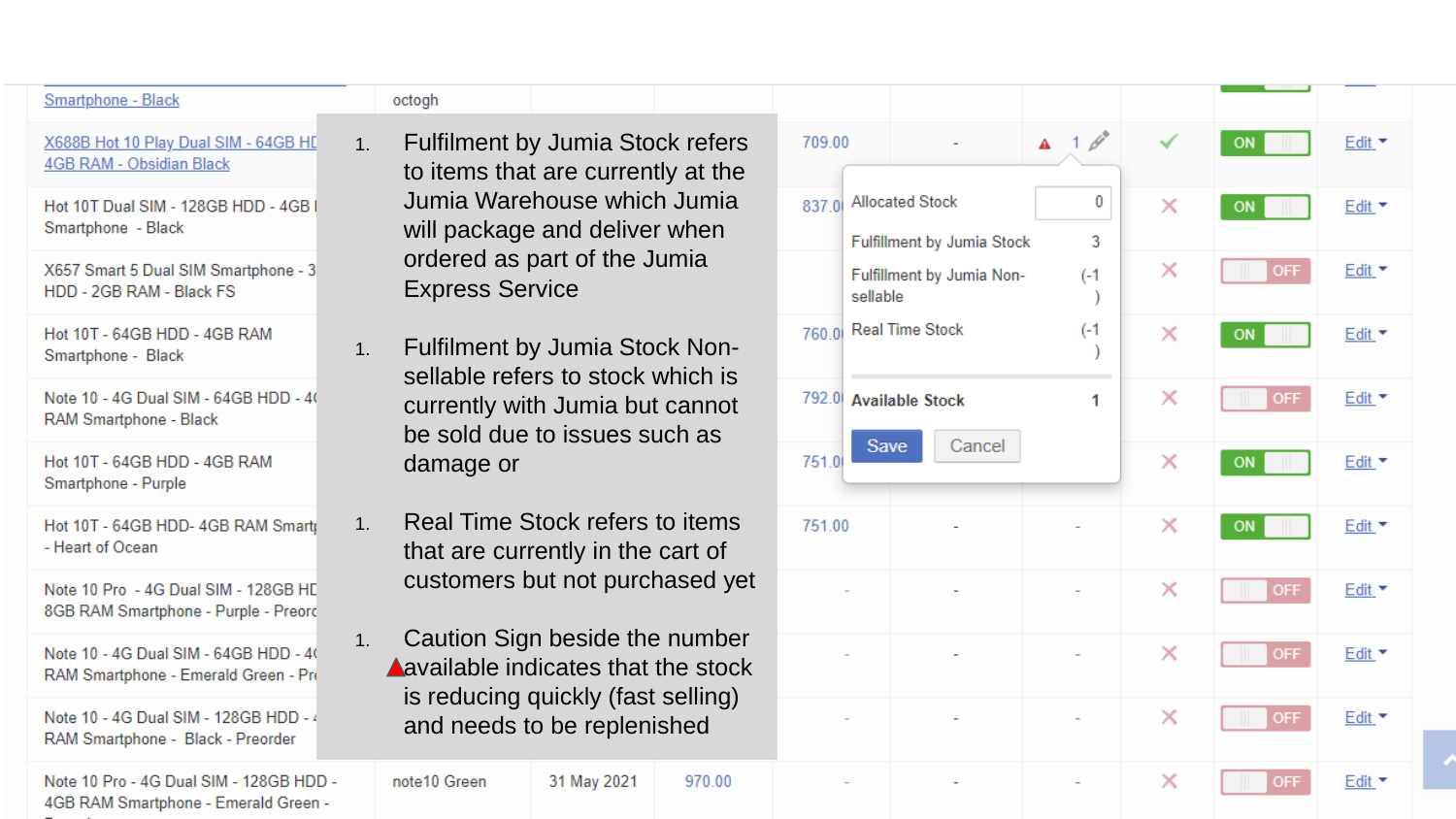#### octogh

#### X688B Hot 10 Play Dual SIM - 64GB HD 4GB RAM - Obsidian Black

Smartphone - Black

Hot 10T Dual SIM - 128GB HDD - 4GB Smartphone - Black

X657 Smart 5 Dual SIM Smartphone - 3 HDD - 2GB RAM - Black FS

Hot 10T - 64GB HDD - 4GB RAM Smartphone - Black

Note 10 - 4G Dual SIM - 64GB HDD - 40 RAM Smartphone - Black

Hot 10T - 64GB HDD - 4GB RAM Smartphone - Purple

Hot 10T - 64GB HDD- 4GB RAM Smarti - Heart of Ocean

Note 10 Pro - 4G Dual SIM - 128GB HE 8GB RAM Smartphone - Purple - Preord

Note 10 - 4G Dual SIM - 64GB HDD - 40 RAM Smartphone - Emerald Green - Pro

Note 10 - 4G Dual SIM - 128GB HDD - 4 RAM Smartphone - Black - Preorder

Note 10 Pro - 4G Dual SIM - 128GB HDD -4GB RAM Smartphone - Emerald Green -

- 1. Fulfilment by Jumia Stock refers to items that are currently at the Jumia Warehouse which Jumia will package and deliver when ordered as part of the Jumia Express Service
- 1. Fulfilment by Jumia Stock Nonsellable refers to stock which is currently with Jumia but cannot be sold due to issues such as damage or
- 1. Real Time Stock refers to items that are currently in the cart of customers but not purchased yet
- 1. Caution Sign beside the number **A** available indicates that the stock is reducing quickly (fast selling) and needs to be replenished

31 May 2021

970.00

note10 Green

| 709.00        | ÷                                                       | $1 \phi^2$<br>A              |          | ON         | Edit *  |  |
|---------------|---------------------------------------------------------|------------------------------|----------|------------|---------|--|
| 837.0         | <b>Allocated Stock</b>                                  | 0                            | $\times$ | ON         | Edit *  |  |
| sellable      | Fulfillment by Jumia Stock<br>Fulfillment by Jumia Non- | 3<br>$(-1)$<br>$\mathcal{E}$ | $\times$ | OFF.       | Edit *  |  |
| 760.0         | <b>Real Time Stock</b>                                  | $(-1)$<br>)                  | ×        | ON         | $E$ dit |  |
| 792.0         | <b>Available Stock</b>                                  | 1                            | $\times$ | <b>OFF</b> | Edit *  |  |
| Save<br>751.0 | Cancel                                                  |                              | $\times$ | ON         | Edit *  |  |
| 751.00        |                                                         |                              | ×        | ON         | Edit *  |  |
|               |                                                         |                              | ×        | OFF.       | Edit *  |  |
|               |                                                         |                              | $\times$ | <b>OFF</b> | Edit *  |  |
|               |                                                         |                              | ×        | <b>OFF</b> | Edit *  |  |
| -             |                                                         |                              | ×        | <b>OFF</b> | Edit *  |  |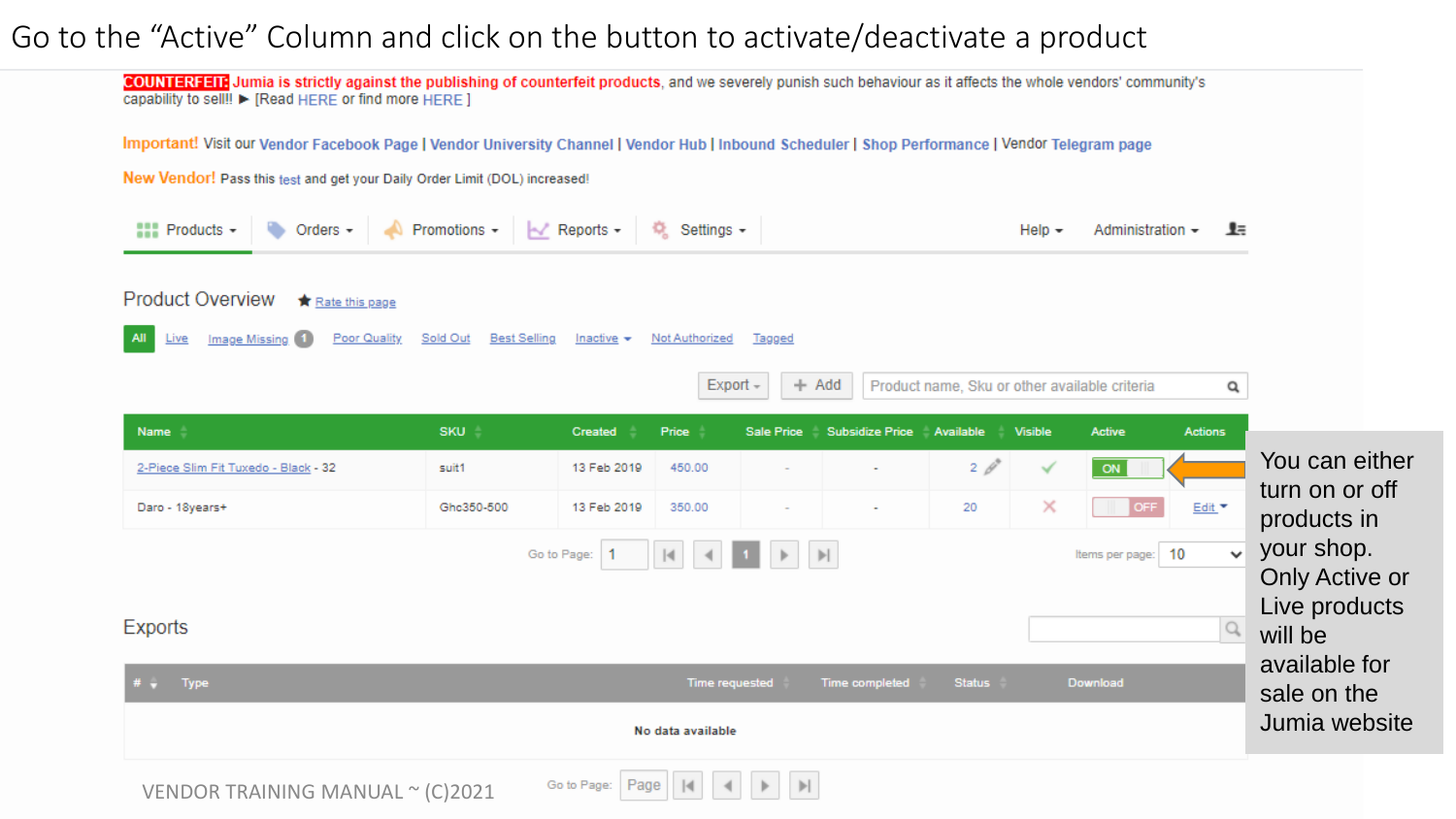#### Go to the "Active" Column and click on the button to activate/deactivate a product

COUNTERFEIT Jumia is strictly against the publishing of counterfeit products, and we severely punish such behaviour as it affects the whole vendors' community's capability to sell!! ► [Read HERE or find more HERE ]

Important! Visit our Vendor Facebook Page | Vendor University Channel | Vendor Hub | Inbound Scheduler | Shop Performance | Vendor Telegram page

New Vendor! Pass this test and get your Daily Order Limit (DOL) increased!